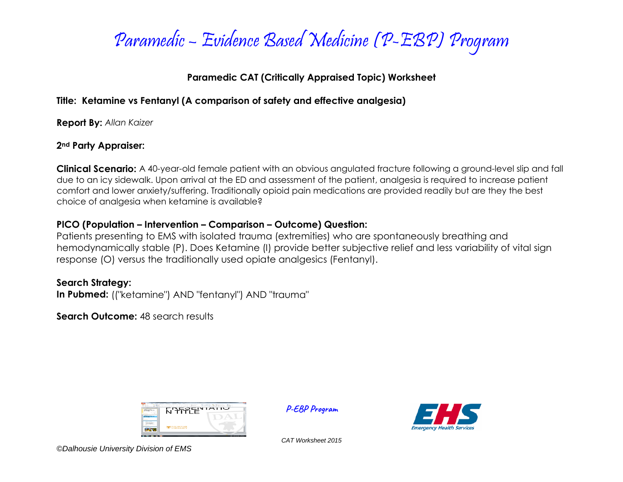

# **Paramedic CAT (Critically Appraised Topic) Worksheet**

# **Title: Ketamine vs Fentanyl (A comparison of safety and effective analgesia)**

**Report By:** *Allan Kaizer*

## **2nd Party Appraiser:**

**Clinical Scenario:** A 40-year-old female patient with an obvious angulated fracture following a ground-level slip and fall due to an icy sidewalk. Upon arrival at the ED and assessment of the patient, analgesia is required to increase patient comfort and lower anxiety/suffering. Traditionally opioid pain medications are provided readily but are they the best choice of analgesia when ketamine is available?

# **PICO (Population – Intervention – Comparison – Outcome) Question:**

Patients presenting to EMS with isolated trauma (extremities) who are spontaneously breathing and hemodynamically stable (P). Does Ketamine (I) provide better subjective relief and less variability of vital sign response (O) versus the traditionally used opiate analgesics (Fentanyl).

# **Search Strategy:**

**In Pubmed:** (("ketamine") AND "fentanyl") AND "trauma"

**Search Outcome: 48 search results** 



**P-EBP Program**



*CAT Worksheet 2015*

*©Dalhousie University Division of EMS*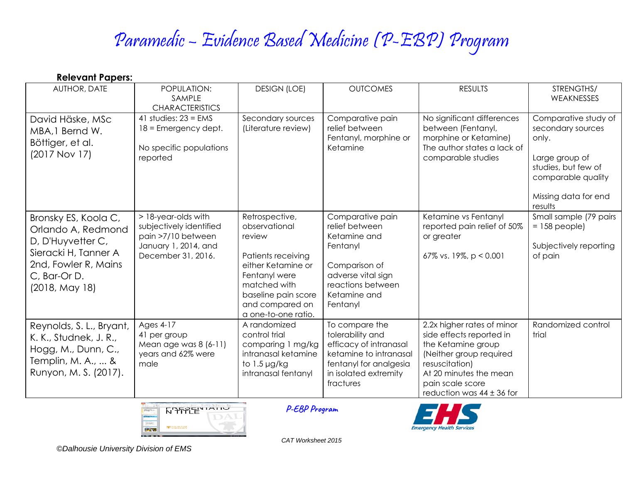# Paramedic – Evidence Based Medicine (P-EBP) Program

| <b>Relevant Papers:</b>                                                                                                                           |                                                                                                                    |                                                                                                                                                                                         |                                                                                                                                                        |                                                                                                                                                                                                          |                                                                                                                                                      |  |  |
|---------------------------------------------------------------------------------------------------------------------------------------------------|--------------------------------------------------------------------------------------------------------------------|-----------------------------------------------------------------------------------------------------------------------------------------------------------------------------------------|--------------------------------------------------------------------------------------------------------------------------------------------------------|----------------------------------------------------------------------------------------------------------------------------------------------------------------------------------------------------------|------------------------------------------------------------------------------------------------------------------------------------------------------|--|--|
| AUTHOR, DATE                                                                                                                                      | POPULATION:<br>SAMPLE<br><b>CHARACTERISTICS</b>                                                                    | <b>DESIGN (LOE)</b>                                                                                                                                                                     | <b>OUTCOMES</b>                                                                                                                                        | <b>RESULTS</b>                                                                                                                                                                                           | STRENGTHS/<br>WEAKNESSES                                                                                                                             |  |  |
| David Häske, MSc<br>MBA, 1 Bernd W.<br>Böttiger, et al.<br>$(2017$ Nov 17)                                                                        | 41 studies: $23 = EMS$<br>$18$ = Emergency dept.<br>No specific populations<br>reported                            | Secondary sources<br>(Literature review)                                                                                                                                                | Comparative pain<br>relief between<br>Fentanyl, morphine or<br>Ketamine                                                                                | No significant differences<br>between (Fentanyl,<br>morphine or Ketamine)<br>The author states a lack of<br>comparable studies                                                                           | Comparative study of<br>secondary sources<br>only.<br>Large group of<br>studies, but few of<br>comparable quality<br>Missing data for end<br>results |  |  |
| Bronsky ES, Koola C,<br>Orlando A, Redmond<br>D, D'Huyvetter C,<br>Sieracki H, Tanner A<br>2nd, Fowler R, Mains<br>C, Bar-Or D.<br>(2018, May 18) | > 18-year-olds with<br>subjectively identified<br>pain >7/10 between<br>January 1, 2014, and<br>December 31, 2016. | Retrospective,<br>observational<br>review<br>Patients receiving<br>either Ketamine or<br>Fentanyl were<br>matched with<br>baseline pain score<br>and compared on<br>a one-to-one ratio. | Comparative pain<br>relief between<br>Ketamine and<br>Fentanyl<br>Comparison of<br>adverse vital sign<br>reactions between<br>Ketamine and<br>Fentanyl | Ketamine vs Fentanyl<br>reported pain relief of 50%<br>or greater<br>67% vs. 19%, p < 0.001                                                                                                              | Small sample (79 pairs<br>$= 158$ people)<br>Subjectively reporting<br>of pain                                                                       |  |  |
| Reynolds, S. L., Bryant,<br>K. K., Studnek, J. R.,<br>Hogg, M., Dunn, C.,<br>Templin, M. A.,  &<br>Runyon, M. S. (2017).                          | Ages 4-17<br>41 per group<br>Mean age was $8(6-11)$<br>years and 62% were<br>male                                  | A randomized<br>control trial<br>comparing 1 mg/kg<br>intranasal ketamine<br>to 1.5 µg/kg<br>intranasal fentanyl                                                                        | To compare the<br>tolerability and<br>efficacy of intranasal<br>ketamine to intranasal<br>fentanyl for analgesia<br>in isolated extremity<br>fractures | 2.2x higher rates of minor<br>side effects reported in<br>the Ketamine group<br>(Neither group required<br>resuscitation)<br>At 20 minutes the mean<br>pain scale score<br>reduction was $44 \pm 36$ for | Randomized control<br>trial                                                                                                                          |  |  |



**P-EBP Program**



*CAT Worksheet 2015*

*©Dalhousie University Division of EMS*